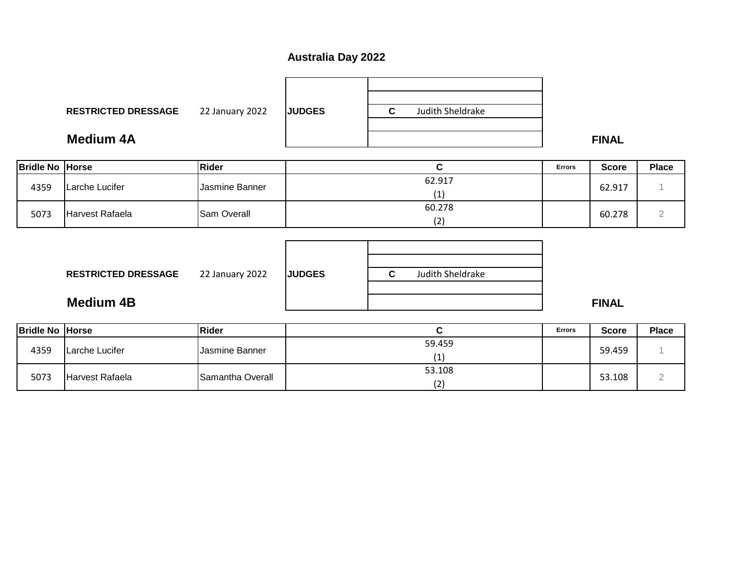### **Australia Day 2022**

**RESTRICTED DRESSAGE** 22 January 2022 **JUDGES C** Judith Sheldrake **Medium 4A** FINAL

| <b>Bridle No Horse</b> |                 | Rider                 |               | <b>Errors</b> | <b>Score</b> | <b>Place</b> |
|------------------------|-----------------|-----------------------|---------------|---------------|--------------|--------------|
| 4359                   | Larche Lucifer  | <b>Jasmine Banner</b> | 62.917        |               | 62.917       |              |
| 5073                   | Harvest Rafaela | <b>Sam Overall</b>    | 60.278<br>(2) |               | 60.278       |              |

| <b>RESTRICTED DRESSAGE</b> | 22 January 2022 | <b>JUDGES</b> | ⌒ | Judith Sheldrake |              |
|----------------------------|-----------------|---------------|---|------------------|--------------|
| <b>Medium 4B</b>           |                 |               |   |                  | <b>FINAL</b> |

| <b>Bridle No Horse</b> |                 | Rider            |               | <b>Errors</b> | <b>Score</b> | <b>Place</b> |
|------------------------|-----------------|------------------|---------------|---------------|--------------|--------------|
| 4359                   | Larche Lucifer  | IJasmine Banner  | 59.459        |               | 59.459       |              |
|                        |                 |                  | (1)           |               |              |              |
| 5073                   | Harvest Rafaela | Samantha Overall | 53.108<br>(2) |               | 53.108       | $\sim$<br>∼  |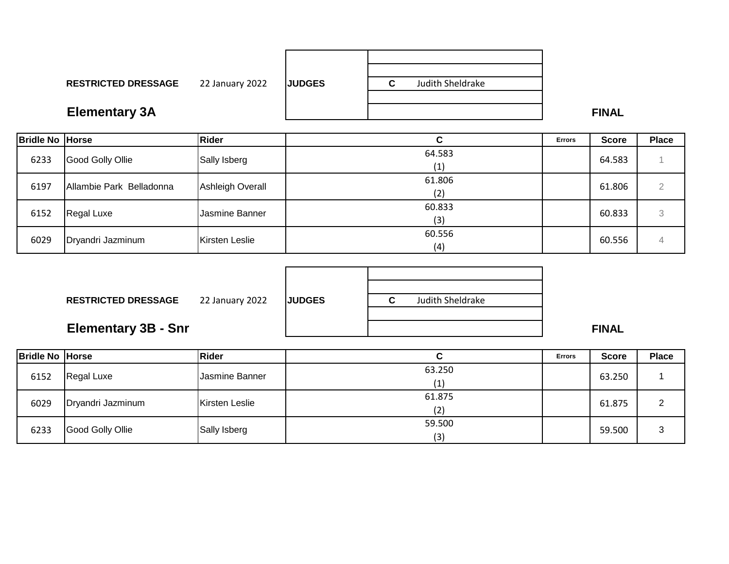| <b>RESTRICTED DRESSAGE</b> | 22 January 2022 | <b>JUDGES</b> | Judith Sheldrake |              |
|----------------------------|-----------------|---------------|------------------|--------------|
| <b>Elementary 3A</b>       |                 |               |                  | <b>FINAL</b> |

| <b>Bridle No Horse</b>           |                         | <b>Rider</b>   |        | <b>Errors</b> | <b>Score</b> | <b>Place</b> |
|----------------------------------|-------------------------|----------------|--------|---------------|--------------|--------------|
| Good Golly Ollie<br>6233         |                         | Sally Isberg   | 64.583 |               | 64.583       |              |
|                                  |                         | (1)            |        |               |              |              |
| Allambie Park Belladonna<br>6197 | <b>Ashleigh Overall</b> | 61.806         |        | 61.806        | っ            |              |
|                                  |                         | (2)            |        |               |              |              |
|                                  |                         | Jasmine Banner | 60.833 |               |              | 3            |
| Regal Luxe<br>6152               |                         | (3)            |        | 60.833        |              |              |
| Dryandri Jazminum<br>6029        |                         | Kirsten Leslie | 60.556 |               | 60.556       | 4            |
|                                  |                         |                | (4)    |               |              |              |

| <b>RESTRICTED DRESSAGE</b> | 22 January 2022 | <b>JUDGES</b> | Judith Sheldrake |              |
|----------------------------|-----------------|---------------|------------------|--------------|
| <b>Elementary 3B - Snr</b> |                 |               |                  | <b>FINAL</b> |

| <b>Bridle No Horse</b> |                         | Rider          |               | <b>Errors</b> | <b>Score</b> | <b>Place</b>   |
|------------------------|-------------------------|----------------|---------------|---------------|--------------|----------------|
| 6152                   | Regal Luxe              | Jasmine Banner | 63.250        |               | 63.250       |                |
| 6029                   | Dryandri Jazminum       | Kirsten Leslie | 61.875<br>(2) |               | 61.875       | $\overline{2}$ |
| 6233                   | <b>Good Golly Ollie</b> | Sally Isberg   | 59.500<br>(3) |               | 59.500       | 3              |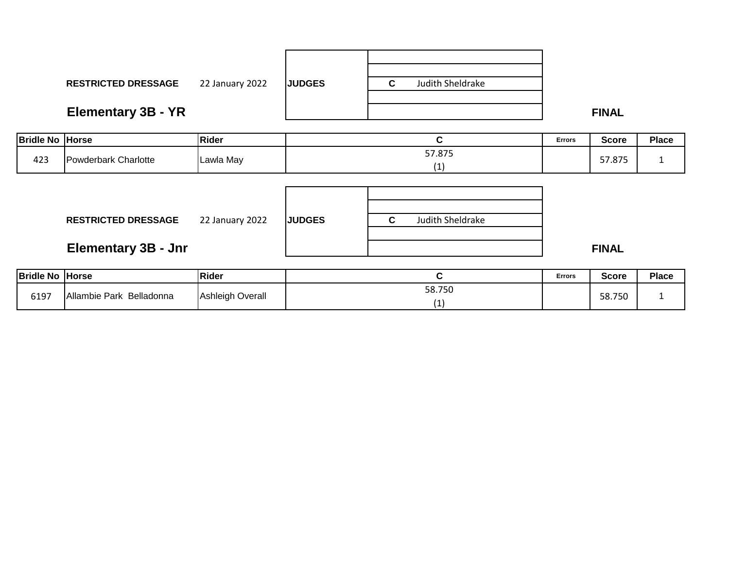|                 | <b>RESTRICTED DRESSAGE</b><br><b>Elementary 3B - YR</b> | 22 January 2022 | <b>JUDGES</b> | $\mathbf c$ | Judith Sheldrake |               | <b>FINAL</b> |              |
|-----------------|---------------------------------------------------------|-----------------|---------------|-------------|------------------|---------------|--------------|--------------|
| Bridle No Horse |                                                         | <b>Rider</b>    |               |             | C                | <b>Errors</b> | <b>Score</b> | <b>Place</b> |
| 423             | Powderbark Charlotte                                    | Lawla May       |               |             | 57.875<br>(1)    |               | 57.875       |              |
|                 |                                                         |                 |               |             |                  |               |              |              |
|                 | <b>RESTRICTED DRESSAGE</b>                              | 22 January 2022 | <b>JUDGES</b> | C           | Judith Sheldrake |               |              |              |

# **Elementary 3B - Jnr FINAL**

| <b>Bridle No Horse</b> |                          | Rider                   |        | <b>Errors</b> | <b>Score</b> | <b>Place</b> |
|------------------------|--------------------------|-------------------------|--------|---------------|--------------|--------------|
| 6197                   | Allambie Park Belladonna | <b>Ashleigh Overall</b> | 58.750 |               | 58.750       |              |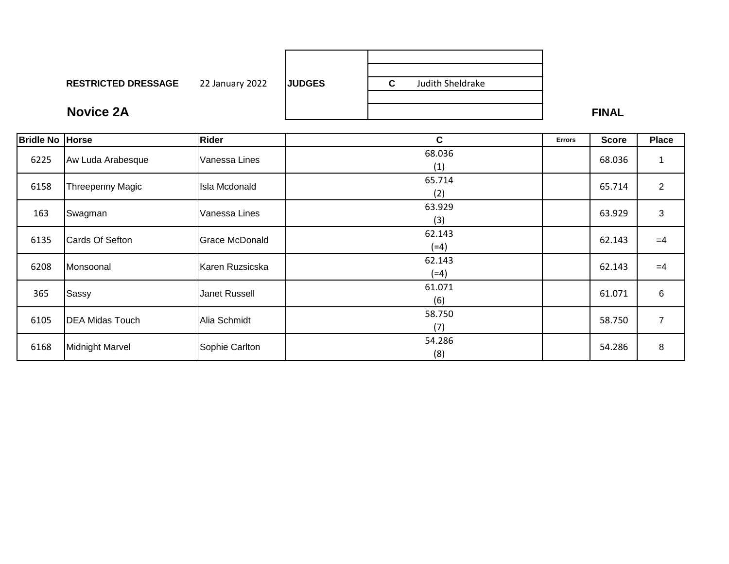| <b>RESTRICTED DRESSAGE</b> | 22 January 2022 | <b>JUDGES</b> | Judith Sheldrake |              |
|----------------------------|-----------------|---------------|------------------|--------------|
| <b>Novice 2A</b>           |                 |               |                  | <b>FINAL</b> |

| <b>Bridle No Horse</b>         |                        | <b>Rider</b>          | C      | <b>Errors</b> | <b>Score</b> | <b>Place</b>   |
|--------------------------------|------------------------|-----------------------|--------|---------------|--------------|----------------|
| 6225                           | Aw Luda Arabesque      | Vanessa Lines         | 68.036 |               | 68.036       |                |
|                                |                        |                       | (1)    |               |              |                |
| 6158                           | Threepenny Magic       | Isla Mcdonald         | 65.714 |               | 65.714       | $\overline{2}$ |
|                                |                        | (2)                   |        |               |              |                |
| 163<br>Swagman                 |                        | 63.929                |        | 63.929        | 3            |                |
|                                | Vanessa Lines          | (3)                   |        |               |              |                |
| Cards Of Sefton<br>6135        |                        | <b>Grace McDonald</b> | 62.143 |               | 62.143       |                |
|                                |                        | $(=4)$                |        |               | $=4$         |                |
|                                |                        | Karen Ruzsicska       | 62.143 |               |              | $=4$           |
| 6208                           | Monsoonal              |                       | $(=4)$ |               | 62.143       |                |
|                                |                        | Janet Russell         | 61.071 |               |              |                |
| 365                            | Sassy                  |                       | (6)    |               | 61.071       | 6              |
|                                | <b>DEA Midas Touch</b> |                       | 58.750 |               |              | $\overline{7}$ |
| 6105                           |                        | Alia Schmidt          | (7)    |               | 58.750       |                |
|                                |                        |                       | 54.286 |               |              |                |
| <b>Midnight Marvel</b><br>6168 |                        | Sophie Carlton<br>(8) |        |               | 54.286       | 8              |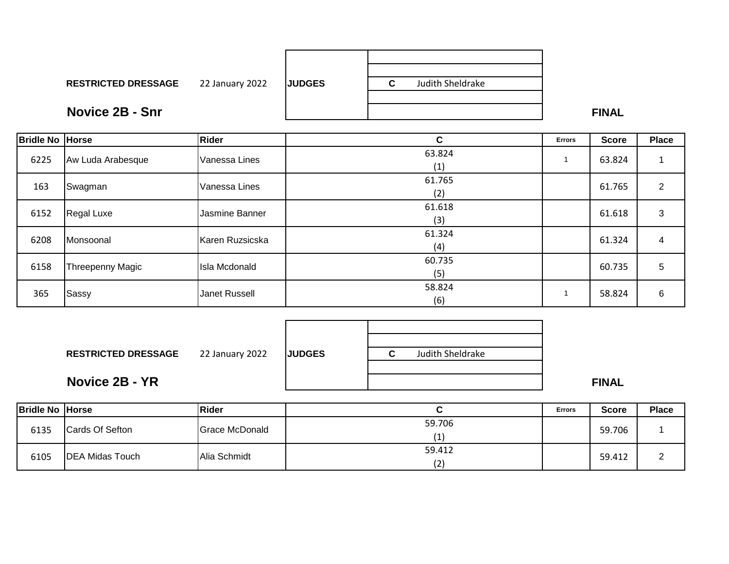| <b>RESTRICTED DRESSAGE</b> | 22 January 2022 | <b>JUDGES</b> | C | Judith Sheldrake |              |
|----------------------------|-----------------|---------------|---|------------------|--------------|
| Novice 2B - Snr            |                 |               |   |                  | <b>FINAL</b> |

| <b>Bridle No Horse</b> |                   | <b>Rider</b>         | C.            | <b>Errors</b> | <b>Score</b> | <b>Place</b>   |
|------------------------|-------------------|----------------------|---------------|---------------|--------------|----------------|
| 6225                   | Aw Luda Arabesque | Vanessa Lines        | 63.824<br>(1) |               | 63.824       |                |
| 163                    | Swagman           | Vanessa Lines        | 61.765<br>(2) |               | 61.765       | $\overline{2}$ |
| 6152                   | <b>Regal Luxe</b> | Jasmine Banner       | 61.618<br>(3) |               | 61.618       | 3              |
| 6208                   | Monsoonal         | Karen Ruzsicska      | 61.324<br>(4) |               | 61.324       | 4              |
| 6158                   | Threepenny Magic  | Isla Mcdonald        | 60.735<br>(5) |               | 60.735       | 5              |
| 365                    | Sassy             | <b>Janet Russell</b> | 58.824<br>(6) |               | 58.824       | 6              |

| <b>RESTRICTED DRESSAGE</b> | 22 January 2022 | <b>JUDGES</b> | Judith Sheldrake |              |
|----------------------------|-----------------|---------------|------------------|--------------|
| Novice 2B - YR             |                 |               |                  | <b>FINAL</b> |

| <b>Bridle No Horse</b> |                 | Rider          |        | <b>Errors</b> | <b>Score</b> | <b>Place</b> |
|------------------------|-----------------|----------------|--------|---------------|--------------|--------------|
| 6135                   | Cards Of Sefton | Grace McDonald | 59.706 |               | 59.706       |              |
|                        |                 |                |        |               |              |              |
|                        | DEA Midas Touch | Alia Schmidt   | 59.412 |               | 59.412       |              |
| 6105                   |                 |                |        |               |              |              |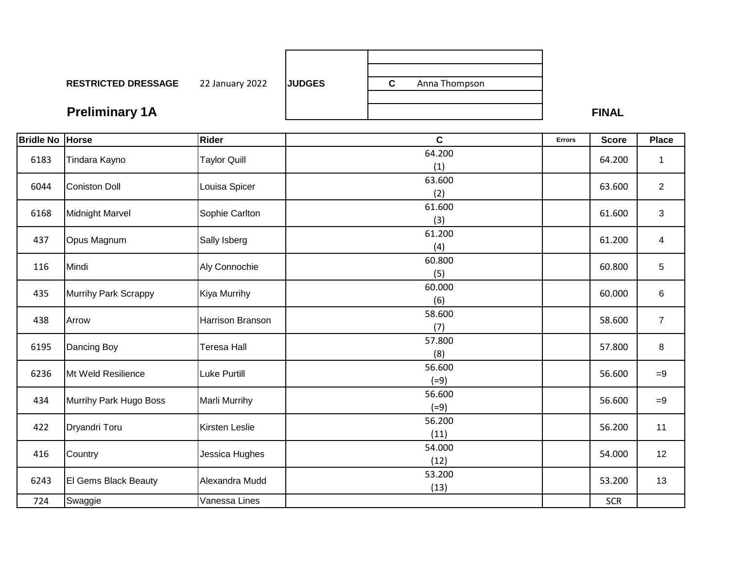| <b>RESTRICTED DRESSAGE</b> | 22 January 2022 | <b>JUDGES</b> | Anna Thompson |              |
|----------------------------|-----------------|---------------|---------------|--------------|
| <b>Preliminary 1A</b>      |                 |               |               | <b>FINAL</b> |

| <b>Bridle No</b> | <b>Horse</b>           | <b>Rider</b>            | $\mathbf{C}$ | <b>Errors</b> | <b>Score</b> | <b>Place</b>   |
|------------------|------------------------|-------------------------|--------------|---------------|--------------|----------------|
| 6183             | Tindara Kayno          | <b>Taylor Quill</b>     | 64.200       |               | 64.200       | $\mathbf 1$    |
|                  |                        |                         | (1)          |               |              |                |
| 6044             | <b>Coniston Doll</b>   | Louisa Spicer           | 63.600       |               | 63.600       | $\overline{2}$ |
|                  |                        |                         | (2)          |               |              |                |
| 6168             | <b>Midnight Marvel</b> | Sophie Carlton          | 61.600       |               | 61.600       | 3              |
|                  |                        |                         | (3)          |               |              |                |
| 437              | Opus Magnum            | Sally Isberg            | 61.200       |               | 61.200       | 4              |
|                  |                        |                         | (4)          |               |              |                |
| 116              | Mindi                  | Aly Connochie           | 60.800       |               | 60.800       | 5              |
|                  |                        |                         | (5)          |               |              |                |
| 435              | Murrihy Park Scrappy   | Kiya Murrihy            | 60.000       |               | 60.000       | 6              |
|                  |                        |                         | (6)          |               |              |                |
| 438              | Arrow                  | <b>Harrison Branson</b> | 58.600       |               | 58.600       | $\overline{7}$ |
|                  |                        |                         | (7)          |               |              |                |
| 6195             | Dancing Boy            | <b>Teresa Hall</b>      | 57.800       |               | 57.800       | 8              |
|                  |                        |                         | (8)          |               |              |                |
| 6236             | Mt Weld Resilience     | <b>Luke Purtill</b>     | 56.600       |               | 56.600       | $=9$           |
|                  |                        |                         | $(=9)$       |               |              |                |
| 434              | Murrihy Park Hugo Boss | Marli Murrihy           | 56.600       |               | 56.600       | $=9$           |
|                  |                        |                         | $(=9)$       |               |              |                |
| 422              | Dryandri Toru          | Kirsten Leslie          | 56.200       |               | 56.200       | 11             |
|                  |                        |                         | (11)         |               |              |                |
| 416              | Country                | Jessica Hughes          | 54.000       |               | 54.000       | 12             |
|                  |                        |                         | (12)         |               |              |                |
| 6243             | El Gems Black Beauty   | Alexandra Mudd          | 53.200       |               | 53.200       | 13             |
|                  |                        |                         | (13)         |               |              |                |
| 724              | Swaggie                | Vanessa Lines           |              |               | <b>SCR</b>   |                |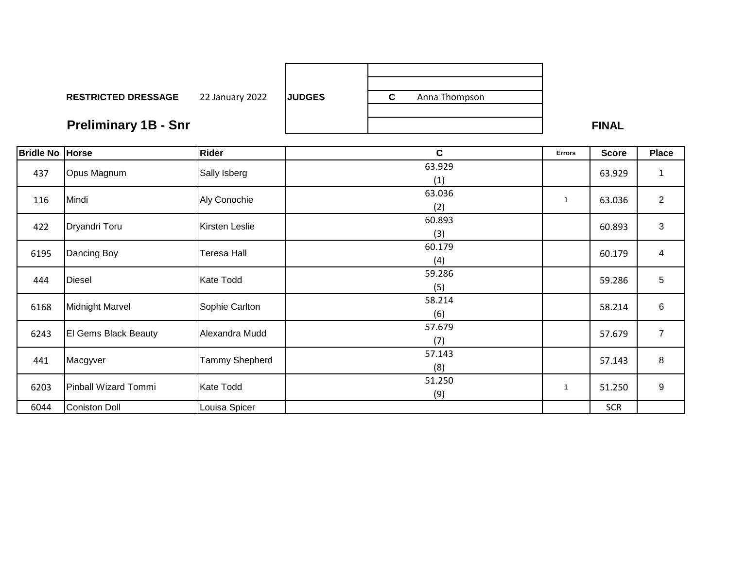| <b>RESTRICTED DRESSAGE</b>  | 22 January 2022 | <b>JUDGES</b> | Anna Thompson |
|-----------------------------|-----------------|---------------|---------------|
| <b>Preliminary 1B - Snr</b> |                 |               |               |

| <b>Bridle No Horse</b> |                             | <b>Rider</b>        | $\mathbf{C}$ | <b>Errors</b> | <b>Score</b> | <b>Place</b>   |
|------------------------|-----------------------------|---------------------|--------------|---------------|--------------|----------------|
| 437                    | Opus Magnum                 | Sally Isberg        | 63.929       |               | 63.929       |                |
|                        |                             |                     | (1)          |               |              |                |
| 116                    | Mindi                       | <b>Aly Conochie</b> | 63.036       | 1             | 63.036       | $\overline{2}$ |
|                        |                             |                     | (2)          |               |              |                |
| 422                    | Dryandri Toru               | Kirsten Leslie      | 60.893       |               | 60.893       | $\mathbf{3}$   |
|                        |                             |                     | (3)          |               |              |                |
| 6195                   | Dancing Boy                 | Teresa Hall         | 60.179       |               | 60.179       | 4              |
|                        |                             |                     | (4)          |               |              |                |
| 444                    | Diesel                      | <b>Kate Todd</b>    | 59.286       | 59.286        | 5            |                |
|                        |                             |                     | (5)          |               |              |                |
| 6168                   | <b>Midnight Marvel</b>      | Sophie Carlton      | 58.214       |               | 58.214       | 6              |
|                        |                             |                     | (6)          |               |              |                |
| 6243                   | <b>El Gems Black Beauty</b> | Alexandra Mudd      | 57.679       |               | 57.679       | $\overline{7}$ |
|                        |                             |                     | (7)          |               |              |                |
| 441                    | Macgyver                    | Tammy Shepherd      | 57.143       |               | 57.143       | 8              |
|                        |                             |                     | (8)          |               |              |                |
| 6203                   | Pinball Wizard Tommi        | <b>Kate Todd</b>    | 51.250       |               | 51.250       | 9              |
|                        |                             |                     | (9)          |               |              |                |
| 6044                   | Coniston Doll               | Louisa Spicer       |              |               | <b>SCR</b>   |                |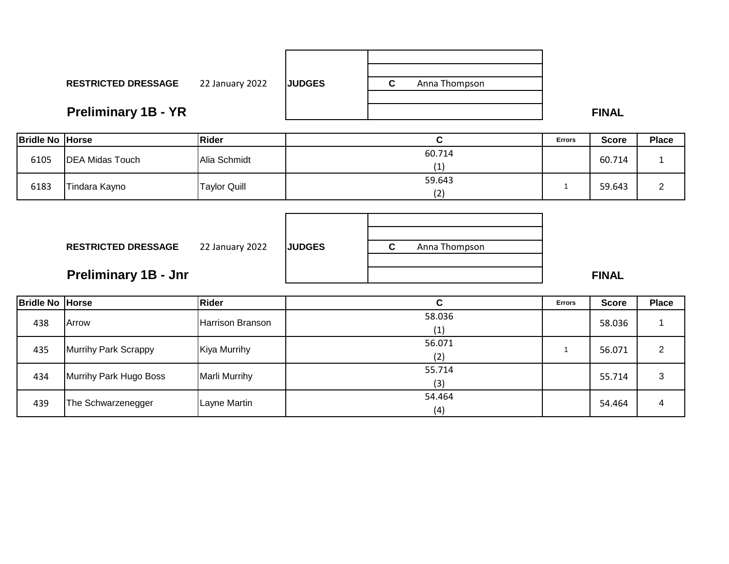| <b>RESTRICTED DRESSAGE</b> | 22 January 2022 | <b>JUDGES</b> | ື | Anna Thompson |              |
|----------------------------|-----------------|---------------|---|---------------|--------------|
| <b>Preliminary 1B - YR</b> |                 |               |   |               | <b>FINAL</b> |

**Bridle No Horse Rider C Errors Score Place** 6105 DEA Midas Touch Alia Schmidt 60.714 (1)  $\begin{bmatrix} 60.714 & 1 \end{bmatrix}$ Findara Kayno **Taylor Quill** 59.643 (2) 1 59.643 2

| <b>RESTRICTED DRESSAGE</b>  | 22 January 2022 | <b>JUDGES</b> | Anna Thompson |              |
|-----------------------------|-----------------|---------------|---------------|--------------|
| <b>Preliminary 1B - Jnr</b> |                 |               |               | <b>FINAL</b> |

| <b>Bridle No Horse</b> |                        | <b>Rider</b>         |               | <b>Errors</b> | <b>Score</b> | <b>Place</b> |
|------------------------|------------------------|----------------------|---------------|---------------|--------------|--------------|
| 438                    | Arrow                  | Harrison Branson     | 58.036<br>(1) |               | 58.036       |              |
| 435                    | Murrihy Park Scrappy   | Kiya Murrihy         | 56.071<br>(2) |               | 56.071       | 2            |
| 434                    | Murrihy Park Hugo Boss | <b>Marli Murrihy</b> | 55.714<br>(3) |               | 55.714       | 3            |
| 439                    | The Schwarzenegger     | Layne Martin         | 54.464<br>(4) |               | 54.464       | 4            |